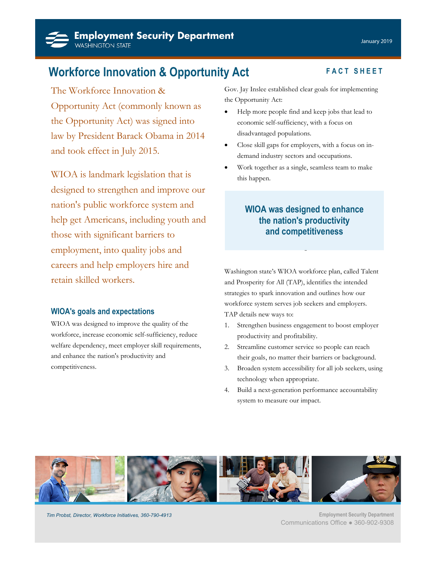**Workforce Innovation & Opportunity Act** FACT SHEET

The Workforce Innovation & Opportunity Act (commonly known as the Opportunity Act) was signed into law by President Barack Obama in 2014 and took effect in July 2015.

WIOA is landmark legislation that is designed to strengthen and improve our nation's public workforce system and help get Americans, including youth and those with significant barriers to employment, into quality jobs and careers and help employers hire and retain skilled workers.

## **WIOA's goals and expectations**

WIOA was designed to improve the quality of the workforce, increase economic self-sufficiency, reduce welfare dependency, meet employer skill requirements, and enhance the nation's productivity and competitiveness.

Gov. Jay Inslee established clear goals for implementing the Opportunity Act:

- Help more people find and keep jobs that lead to economic self-sufficiency, with a focus on disadvantaged populations.
- Close skill gaps for employers, with a focus on indemand industry sectors and occupations.
- Work together as a single, seamless team to make this happen.

## **WIOA was designed to enhance the nation's productivity and competitiveness**

Washington state's WIOA workforce plan, called Talent and Prosperity for All (TAP), identifies the intended strategies to spark innovation and outlines how our workforce system serves job seekers and employers. TAP details new ways to:

- 1. Strengthen business engagement to boost employer productivity and profitability.
- 2. Streamline customer service so people can reach their goals, no matter their barriers or background.
- 3. Broaden system accessibility for all job seekers, using technology when appropriate.
- 4. Build a next-generation performance accountability system to measure our impact.



*Tim Probst, Director, Workforce Initiatives, 360-790-4913* **Employment Security Department** 

Communications Office ● 360-902-9308